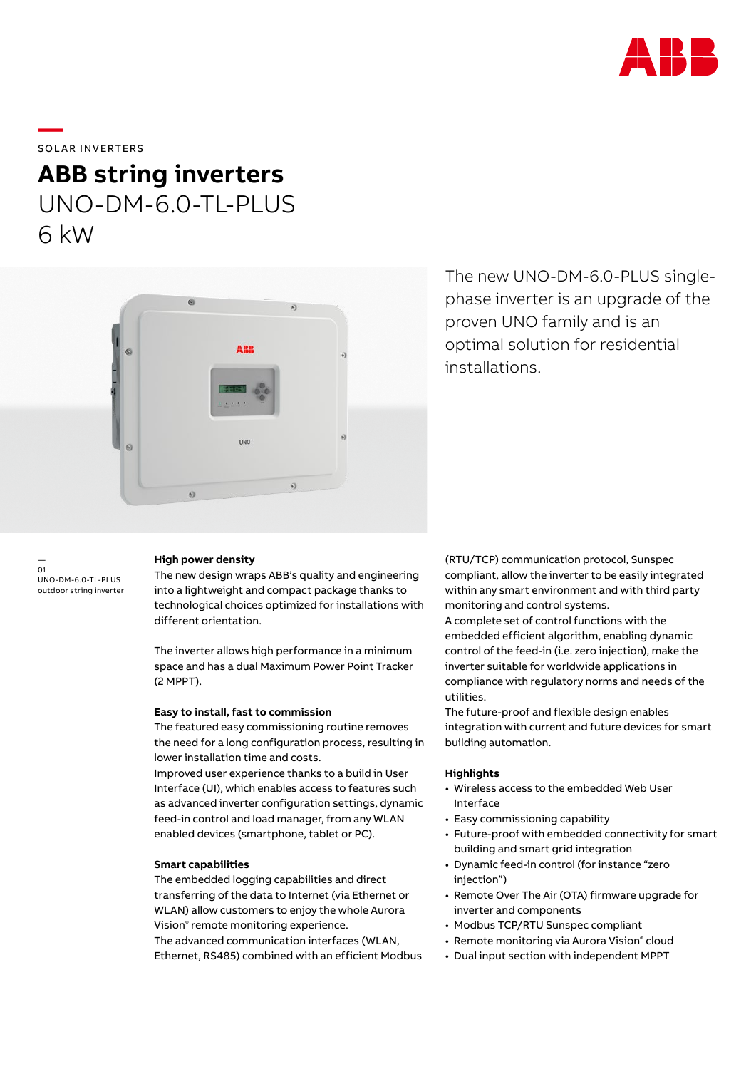

## SOLAR INVERTERS

**—** 

# **ABB string inverters** UNO-DM-6.0-TL-PLUS 6 kW



The new UNO-DM-6.0-PLUS singlephase inverter is an upgrade of the proven UNO family and is an optimal solution for residential installations.

— 01 UNO-DM-6.0-TL-PLUS outdoor string inverter

#### **High power density**

The new design wraps ABB's quality and engineering into a lightweight and compact package thanks to technological choices optimized for installations with different orientation.

The inverter allows high performance in a minimum space and has a dual Maximum Power Point Tracker (2 MPPT).

#### **Easy to install, fast to commission**

The featured easy commissioning routine removes the need for a long configuration process, resulting in lower installation time and costs.

Improved user experience thanks to a build in User Interface (UI), which enables access to features such as advanced inverter configuration settings, dynamic feed-in control and load manager, from any WLAN enabled devices (smartphone, tablet or PC).

### **Smart capabilities**

The embedded logging capabilities and direct transferring of the data to Internet (via Ethernet or WLAN) allow customers to enjoy the whole Aurora Vision® remote monitoring experience. The advanced communication interfaces (WLAN, Ethernet, RS485) combined with an efficient Modbus (RTU/TCP) communication protocol, Sunspec compliant, allow the inverter to be easily integrated within any smart environment and with third party monitoring and control systems.

A complete set of control functions with the embedded efficient algorithm, enabling dynamic control of the feed-in (i.e. zero injection), make the inverter suitable for worldwide applications in compliance with regulatory norms and needs of the utilities.

The future-proof and flexible design enables integration with current and future devices for smart building automation.

## **Highlights**

- Wireless access to the embedded Web User Interface
- Easy commissioning capability
- Future-proof with embedded connectivity for smart building and smart grid integration
- Dynamic feed-in control (for instance "zero injection")
- Remote Over The Air (OTA) firmware upgrade for inverter and components
- Modbus TCP/RTU Sunspec compliant
- Remote monitoring via Aurora Vision® cloud
- Dual input section with independent MPPT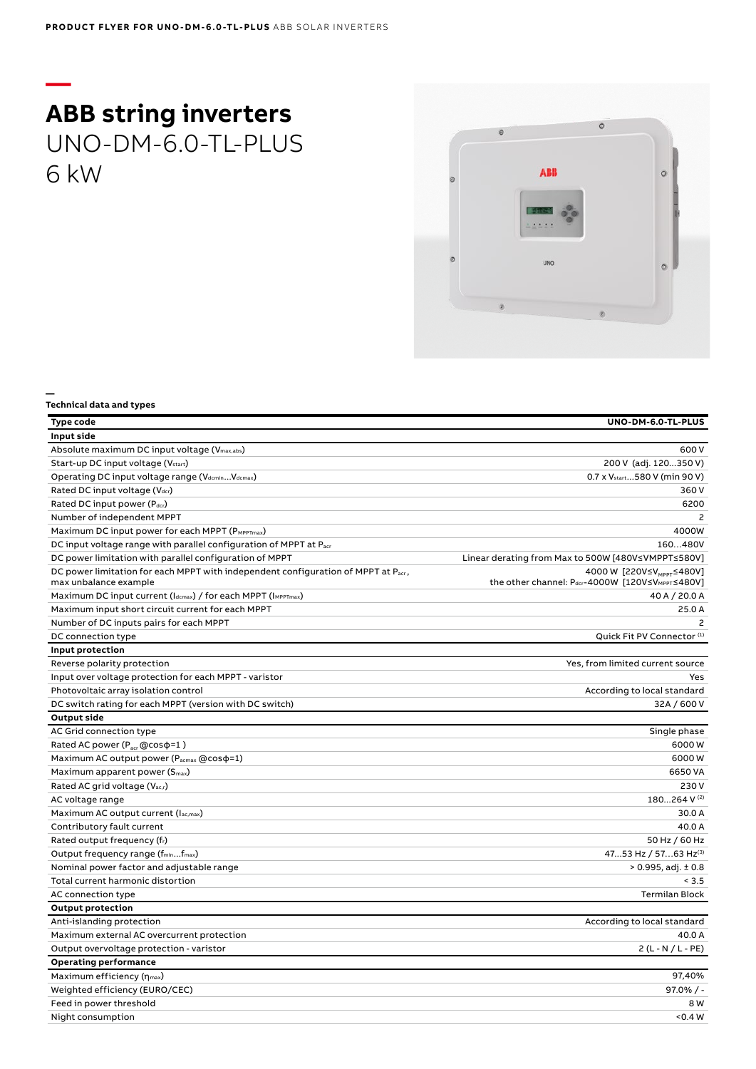## **— ABB string inverters** UNO-DM-6.0-TL-PLUS 6 kW

**—**



| Type code                                                                                                  | UNO-DM-6.0-TL-PLUS                                                                       |
|------------------------------------------------------------------------------------------------------------|------------------------------------------------------------------------------------------|
| Input side                                                                                                 |                                                                                          |
|                                                                                                            | 600 V                                                                                    |
| Absolute maximum DC input voltage (V <sub>max,abs</sub> )                                                  |                                                                                          |
| Start-up DC input voltage (Vstart)                                                                         | 200 V (adj. 120350 V)                                                                    |
| Operating DC input voltage range (VdcminVdcmax)                                                            | 0.7 x V <sub>start</sub> 580 V (min 90 V)                                                |
| Rated DC input voltage (V <sub>dcr</sub> )                                                                 | 360 V                                                                                    |
| Rated DC input power (Pdcr)                                                                                | 6200                                                                                     |
| Number of independent MPPT                                                                                 | $\mathcal{P}$                                                                            |
| Maximum DC input power for each MPPT (PMPPTmax)                                                            | 4000W                                                                                    |
| DC input voltage range with parallel configuration of MPPT at Pacr                                         | 160480V                                                                                  |
| DC power limitation with parallel configuration of MPPT                                                    | Linear derating from Max to 500W [480V≤VMPPT≤580V]                                       |
| DC power limitation for each MPPT with independent configuration of MPPT at Pacr,<br>max unbalance example | 4000 W [220V≤V <sub>MPPT</sub> ≤480V]<br>the other channel: Pdcr-4000W [120V≤VMPPT≤480V] |
| Maximum DC input current (Idcmax) / for each MPPT (IMPPTmax)                                               | 40 A / 20.0 A                                                                            |
| Maximum input short circuit current for each MPPT                                                          | 25.0 A                                                                                   |
| Number of DC inputs pairs for each MPPT                                                                    | $\mathcal{P}$                                                                            |
| DC connection type                                                                                         | Quick Fit PV Connector <sup>(1)</sup>                                                    |
| Input protection                                                                                           |                                                                                          |
| Reverse polarity protection                                                                                | Yes, from limited current source                                                         |
| Input over voltage protection for each MPPT - varistor                                                     | Yes                                                                                      |
| Photovoltaic array isolation control                                                                       | According to local standard                                                              |
| DC switch rating for each MPPT (version with DC switch)                                                    | 32A / 600 V                                                                              |
| <b>Output side</b>                                                                                         |                                                                                          |
| AC Grid connection type                                                                                    | Single phase                                                                             |
| Rated AC power ( $P_{\text{acc}}$ @cos $\varphi$ =1)                                                       | 6000W                                                                                    |
| Maximum AC output power (Pacmax @cos $\phi$ =1)                                                            | 6000W                                                                                    |
| Maximum apparent power (S <sub>max</sub> )                                                                 | 6650 VA                                                                                  |
| Rated AC grid voltage (Vac,r)                                                                              | 230V                                                                                     |
| AC voltage range                                                                                           | 180264 V (2)                                                                             |
| Maximum AC output current (lac,max)                                                                        | 30.0 A                                                                                   |
| Contributory fault current                                                                                 | 40.0 A                                                                                   |
| Rated output frequency (fr)                                                                                | 50 Hz / 60 Hz                                                                            |
| Output frequency range (f <sub>min</sub> f <sub>max</sub> )                                                | 4753 Hz / 5763 Hz(3)                                                                     |
| Nominal power factor and adjustable range                                                                  | $> 0.995$ , adj. $\pm 0.8$                                                               |
| Total current harmonic distortion                                                                          | < 3.5                                                                                    |
| AC connection type                                                                                         | <b>Termilan Block</b>                                                                    |
| <b>Output protection</b>                                                                                   |                                                                                          |
| Anti-islanding protection                                                                                  | According to local standard                                                              |
| Maximum external AC overcurrent protection                                                                 | 40.0 A                                                                                   |
| Output overvoltage protection - varistor                                                                   | $2(L - N / L - PE)$                                                                      |
| <b>Operating performance</b>                                                                               |                                                                                          |
| Maximum efficiency $(\eta_{max})$                                                                          | 97.40%                                                                                   |
| Weighted efficiency (EURO/CEC)                                                                             | $97.0\%$ / -                                                                             |
| Feed in power threshold                                                                                    | 8 W                                                                                      |
| Night consumption                                                                                          | 0.4 W                                                                                    |
|                                                                                                            |                                                                                          |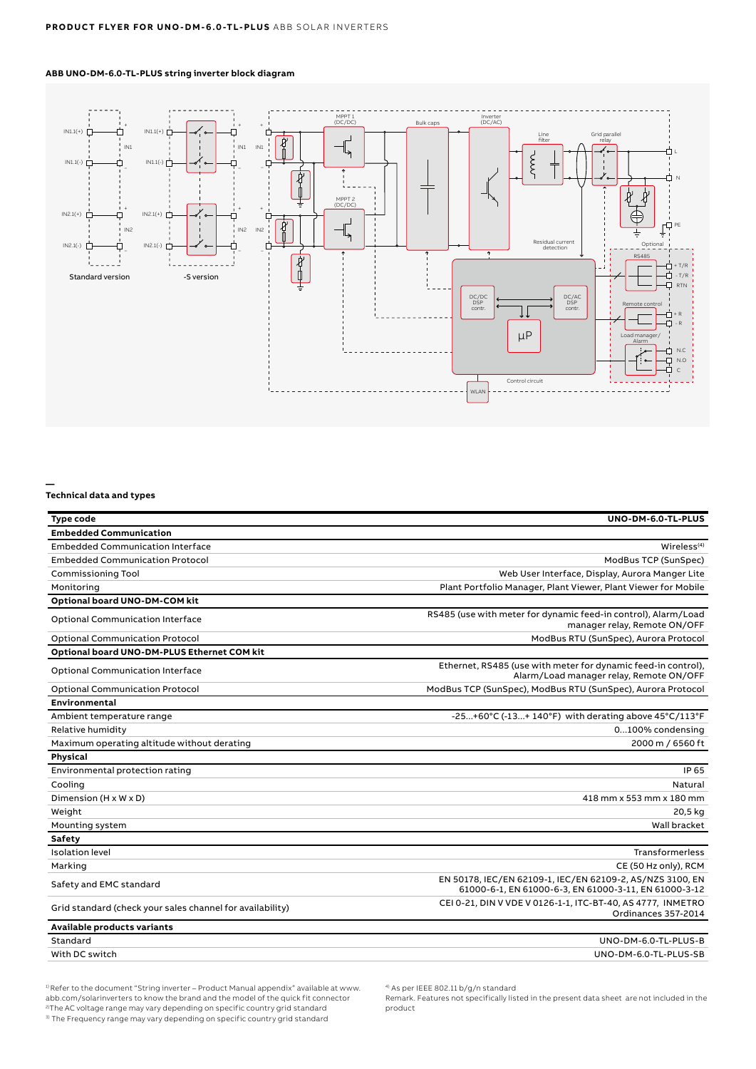### **ABB UNO-DM-6.0-TL-PLUS string inverter block diagram**



**—**

#### **Technical data and types**

| Type code                                                 | UNO-DM-6.0-TL-PLUS                                                                                                 |
|-----------------------------------------------------------|--------------------------------------------------------------------------------------------------------------------|
| <b>Embedded Communication</b>                             |                                                                                                                    |
| <b>Embedded Communication Interface</b>                   | Wireless <sup>(4)</sup>                                                                                            |
| <b>Embedded Communication Protocol</b>                    | ModBus TCP (SunSpec)                                                                                               |
| <b>Commissioning Tool</b>                                 | Web User Interface, Display, Aurora Manger Lite                                                                    |
| Monitoring                                                | Plant Portfolio Manager, Plant Viewer, Plant Viewer for Mobile                                                     |
| Optional board UNO-DM-COM kit                             |                                                                                                                    |
| <b>Optional Communication Interface</b>                   | RS485 (use with meter for dynamic feed-in control), Alarm/Load<br>manager relay, Remote ON/OFF                     |
| <b>Optional Communication Protocol</b>                    | ModBus RTU (SunSpec), Aurora Protocol                                                                              |
| Optional board UNO-DM-PLUS Ethernet COM kit               |                                                                                                                    |
| <b>Optional Communication Interface</b>                   | Ethernet, RS485 (use with meter for dynamic feed-in control),<br>Alarm/Load manager relay, Remote ON/OFF           |
| <b>Optional Communication Protocol</b>                    | ModBus TCP (SunSpec), ModBus RTU (SunSpec), Aurora Protocol                                                        |
| Environmental                                             |                                                                                                                    |
| Ambient temperature range                                 | -25+60°C (-13+ 140°F) with derating above $45^{\circ}$ C/113°F                                                     |
| Relative humidity                                         | 0100% condensing                                                                                                   |
| Maximum operating altitude without derating               | 2000 m / 6560 ft                                                                                                   |
| Physical                                                  |                                                                                                                    |
| Environmental protection rating                           | IP 65                                                                                                              |
| Cooling                                                   | Natural                                                                                                            |
| Dimension (H x W x D)                                     | 418 mm x 553 mm x 180 mm                                                                                           |
| Weight                                                    | 20,5 kg                                                                                                            |
| Mounting system                                           | Wall bracket                                                                                                       |
| Safety                                                    |                                                                                                                    |
| <b>Isolation level</b>                                    | Transformerless                                                                                                    |
| Marking                                                   | CE (50 Hz only), RCM                                                                                               |
| Safety and EMC standard                                   | EN 50178, IEC/EN 62109-1, IEC/EN 62109-2, AS/NZS 3100, EN<br>61000-6-1, EN 61000-6-3, EN 61000-3-11, EN 61000-3-12 |
| Grid standard (check your sales channel for availability) | CEI 0-21, DIN V VDE V 0126-1-1, ITC-BT-40, AS 4777, INMETRO<br>Ordinances 357-2014                                 |
| Available products variants                               |                                                                                                                    |
| Standard                                                  | UNO-DM-6.0-TL-PLUS-B                                                                                               |
| With DC switch                                            | UNO-DM-6.0-TL-PLUS-SB                                                                                              |

<sup>1)</sup> Refer to the document "String inverter – Product Manual appendix" available at www.<br>abb.com/solarinverters to know the brand and the model of the quick fit connector <sup>2)</sup>The AC voltage range may vary depending on specific country grid standard 3) The Frequency range may vary depending on specific country grid standard

4) As per IEEE 802.11 b/g/n standard

Remark. Features not specifically listed in the present data sheet are not included in the product